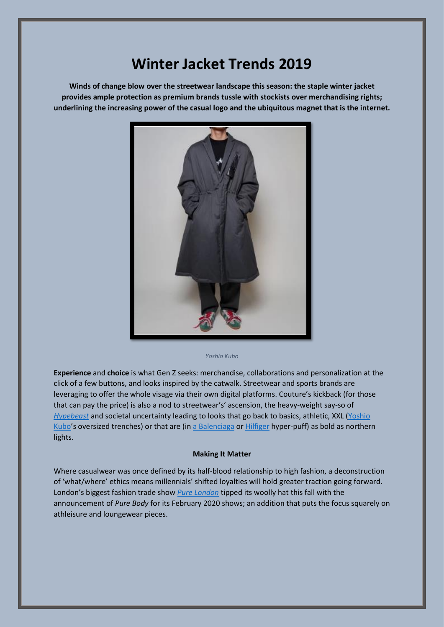## **Winter Jacket Trends 2019**

**Winds of change blow over the streetwear landscape this season: the staple winter jacket provides ample protection as premium brands tussle with stockists over merchandising rights; underlining the increasing power of the casual logo and the ubiquitous magnet that is the internet.**



*Yoshio Kubo*

**Experience** and **choice** is what Gen Z seeks: merchandise, collaborations and personalization at the click of a few buttons, and looks inspired by the catwalk. Streetwear and sports brands are leveraging to offer the whole visage via their own digital platforms. Couture's kickback (for those that can pay the price) is also a nod to streetwear's' ascension, the heavy-weight say-so of *[Hypebeast](https://hypebeast.com/fashion)* and societal uncertainty leading to looks that go back to basics, athletic, XXL [\(Yoshio](https://yoshiokubo.jp/collections/item/outer)  [Kubo](https://yoshiokubo.jp/collections/item/outer)'s oversized trenches) or that are (in a [Balenciaga](https://www.balenciaga.com/gb/coats_cod41922347xv.html?tp=62535&targetid=pla-302271529179&location=1006933&gclid=EAIaIQobChMI7uCSx76o5QIVyRnTCh2RGwpVEAQYBSABEgLzI_D_BwE) or [Hilfiger](https://www.stussy.co.uk/store/drift-pullover-jacket?color_item=22) hyper-puff) as bold as northern lights.

## **Making It Matter**

Where casualwear was once defined by its half-blood relationship to high fashion, a deconstruction of 'what/where' ethics means millennials' shifted loyalties will hold greater traction going forward. London's biggest fashion trade show *[Pure London](https://www.purelondon.com/homepage)* tipped its woolly hat this fall with the announcement of *Pure Body* for its February 2020 shows; an addition that puts the focus squarely on athleisure and loungewear pieces.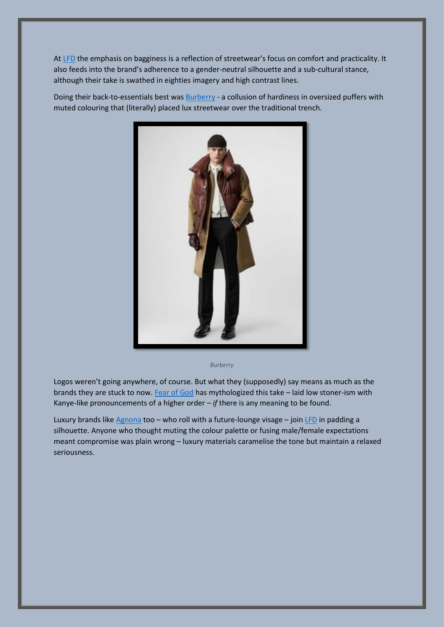A[t LFD](https://lfdfashion.com/) the emphasis on bagginess is a reflection of streetwear's focus on comfort and practicality. It also feeds into the brand's adherence to a gender-neutral silhouette and a sub-cultural stance, although their take is swathed in eighties imagery and high contrast lines.

Doing their back-to-essentials best was **[Burberry](https://uk.burberry.com/trench-coats-men/)** - a collusion of hardiness in oversized puffers with muted colouring that (literally) placed lux streetwear over the traditional trench.



*Burberry*

Logos weren't going anywhere, of course. But what they (supposedly) say means as much as the brands they are stuck to now. [Fear of God](https://fearofgod.com/) has mythologized this take – laid low stoner-ism with Kanye-like pronouncements of a higher order – *if* there is any meaning to be found.

Luxury brands lik[e Agnona](https://agnona.com/pages/fall-winter-2019-runway) too - who roll with a future-lounge visage - join [LFD](https://lfdfashion.com/) in padding a silhouette. Anyone who thought muting the colour palette or fusing male/female expectations meant compromise was plain wrong – luxury materials caramelise the tone but maintain a relaxed seriousness.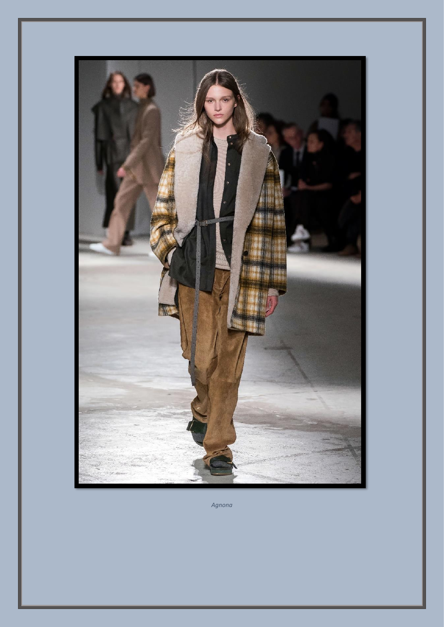

*Agnona*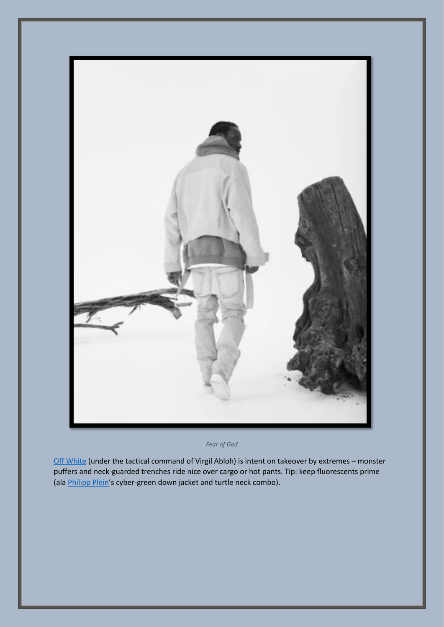

*Fear of God*

[Off White](https://www.vogue.com/fashion-shows/fall-2019-ready-to-wear/off-white/slideshow/collection#13) (under the tactical command of Virgil Abloh) is intent on takeover by extremes – monster puffers and neck-guarded trenches ride nice over cargo or hot pants. Tip: keep fluorescents prime (ala **Philipp Plein's cyber-green down jacket and turtle neck combo)**.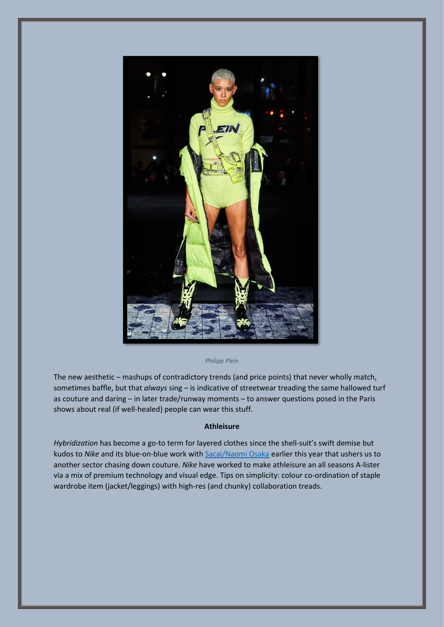

## *Philipp Plein*

The new aesthetic – mashups of contradictory trends (and price points) that never wholly match, sometimes baffle, but that *always* sing – is indicative of streetwear treading the same hallowed turf as couture and daring – in later trade/runway moments – to answer questions posed in the Paris shows about real (if well-healed) people can wear this stuff.

## **Athleisure**

*Hybridization* has become a go-to term for layered clothes since the shell-suit's swift demise but kudos to *Nike* and its blue-on-blue work with [Sacai/Naomi Osaka](https://news.nike.com/news/nike-x-sacai-running-apparel-collection-official-images) earlier this year that ushers us to another sector chasing down couture. *Nike* have worked to make athleisure an all seasons A-lister via a mix of premium technology and visual edge. Tips on simplicity: colour co-ordination of staple wardrobe item (jacket/leggings) with high-res (and chunky) collaboration treads.